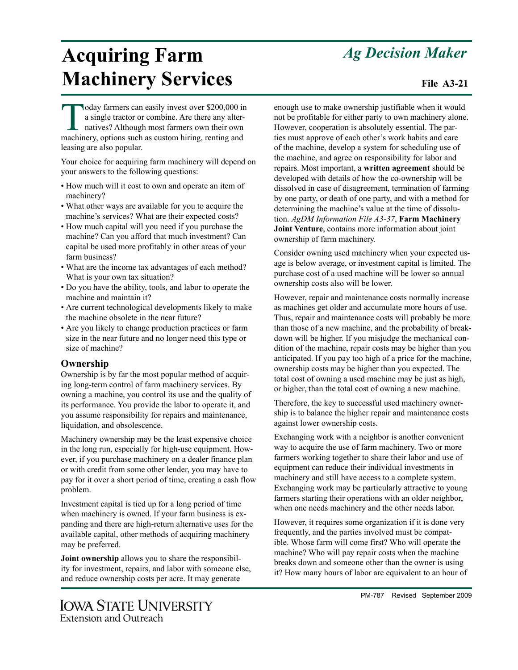## *Ag Decision Maker*

# **Acquiring Farm Machinery Services** File A3-21

oday farmers can easily invest over \$200,000 in a single tractor or combine. Are there any alternatives? Although most farmers own their own machinery, options such as custom hiring, renting and leasing are also popular.

Your choice for acquiring farm machinery will depend on your answers to the following questions:

- How much will it cost to own and operate an item of machinery?
- What other ways are available for you to acquire the machine's services? What are their expected costs?
- How much capital will you need if you purchase the machine? Can you afford that much investment? Can capital be used more profitably in other areas of your farm business?
- What are the income tax advantages of each method? What is your own tax situation?
- Do you have the ability, tools, and labor to operate the machine and maintain it?
- Are current technological developments likely to make the machine obsolete in the near future?
- Are you likely to change production practices or farm size in the near future and no longer need this type or size of machine?

#### **Ownership**

Ownership is by far the most popular method of acquiring long-term control of farm machinery services. By owning a machine, you control its use and the quality of its performance. You provide the labor to operate it, and you assume responsibility for repairs and maintenance, liquidation, and obsolescence.

Machinery ownership may be the least expensive choice in the long run, especially for high-use equipment. However, if you purchase machinery on a dealer finance plan or with credit from some other lender, you may have to pay for it over a short period of time, creating a cash flow problem.

Investment capital is tied up for a long period of time when machinery is owned. If your farm business is expanding and there are high-return alternative uses for the available capital, other methods of acquiring machinery may be preferred.

**Joint ownership** allows you to share the responsibility for investment, repairs, and labor with someone else, and reduce ownership costs per acre. It may generate

enough use to make ownership justifiable when it would not be profitable for either party to own machinery alone. However, cooperation is absolutely essential. The parties must approve of each other's work habits and care of the machine, develop a system for scheduling use of the machine, and agree on responsibility for labor and repairs. Most important, a **written agreement** should be developed with details of how the co-ownership will be dissolved in case of disagreement, termination of farming by one party, or death of one party, and with a method for determining the machine's value at the time of dissolution. *AgDM Information File A3-37*, **Farm Machinery Joint Venture**, contains more information about joint ownership of farm machinery.

Consider owning used machinery when your expected usage is below average, or investment capital is limited. The purchase cost of a used machine will be lower so annual ownership costs also will be lower.

However, repair and maintenance costs normally increase as machines get older and accumulate more hours of use. Thus, repair and maintenance costs will probably be more than those of a new machine, and the probability of breakdown will be higher. If you misjudge the mechanical condition of the machine, repair costs may be higher than you anticipated. If you pay too high of a price for the machine, ownership costs may be higher than you expected. The total cost of owning a used machine may be just as high, or higher, than the total cost of owning a new machine.

Therefore, the key to successful used machinery ownership is to balance the higher repair and maintenance costs against lower ownership costs.

Exchanging work with a neighbor is another convenient way to acquire the use of farm machinery. Two or more farmers working together to share their labor and use of equipment can reduce their individual investments in machinery and still have access to a complete system. Exchanging work may be particularly attractive to young farmers starting their operations with an older neighbor, when one needs machinery and the other needs labor.

However, it requires some organization if it is done very frequently, and the parties involved must be compatible. Whose farm will come first? Who will operate the machine? Who will pay repair costs when the machine breaks down and someone other than the owner is using it? How many hours of labor are equivalent to an hour of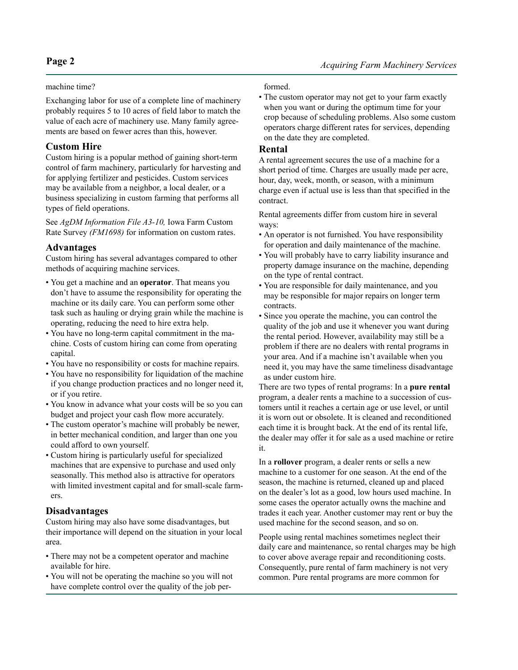#### machine time?

Exchanging labor for use of a complete line of machinery probably requires 5 to 10 acres of field labor to match the value of each acre of machinery use. Many family agreements are based on fewer acres than this, however.

#### **Custom Hire**

Custom hiring is a popular method of gaining short-term control of farm machinery, particularly for harvesting and for applying fertilizer and pesticides. Custom services may be available from a neighbor, a local dealer, or a business specializing in custom farming that performs all types of field operations.

See *AgDM Information File A3-10,* Iowa Farm Custom Rate Survey *(FM1698)* for information on custom rates.

#### **Advantages**

Custom hiring has several advantages compared to other methods of acquiring machine services.

- You get a machine and an **operator**. That means you don't have to assume the responsibility for operating the machine or its daily care. You can perform some other task such as hauling or drying grain while the machine is operating, reducing the need to hire extra help.
- You have no long-term capital commitment in the machine. Costs of custom hiring can come from operating capital.
- You have no responsibility or costs for machine repairs.
- You have no responsibility for liquidation of the machine if you change production practices and no longer need it, or if you retire.
- You know in advance what your costs will be so you can budget and project your cash flow more accurately.
- The custom operator's machine will probably be newer, in better mechanical condition, and larger than one you could afford to own yourself.
- Custom hiring is particularly useful for specialized machines that are expensive to purchase and used only seasonally. This method also is attractive for operators with limited investment capital and for small-scale farmers.

#### **Disadvantages**

Custom hiring may also have some disadvantages, but their importance will depend on the situation in your local area.

- There may not be a competent operator and machine available for hire.
- You will not be operating the machine so you will not have complete control over the quality of the job per-

#### formed.

• The custom operator may not get to your farm exactly when you want or during the optimum time for your crop because of scheduling problems. Also some custom operators charge different rates for services, depending on the date they are completed.

#### **Rental**

A rental agreement secures the use of a machine for a short period of time. Charges are usually made per acre, hour, day, week, month, or season, with a minimum charge even if actual use is less than that specified in the contract.

Rental agreements differ from custom hire in several ways:

- An operator is not furnished. You have responsibility for operation and daily maintenance of the machine.
- You will probably have to carry liability insurance and property damage insurance on the machine, depending on the type of rental contract.
- You are responsible for daily maintenance, and you may be responsible for major repairs on longer term contracts.
- Since you operate the machine, you can control the quality of the job and use it whenever you want during the rental period. However, availability may still be a problem if there are no dealers with rental programs in your area. And if a machine isn't available when you need it, you may have the same timeliness disadvantage as under custom hire.

There are two types of rental programs: In a **pure rental** program, a dealer rents a machine to a succession of customers until it reaches a certain age or use level, or until it is worn out or obsolete. It is cleaned and reconditioned each time it is brought back. At the end of its rental life, the dealer may offer it for sale as a used machine or retire it.

In a **rollover** program, a dealer rents or sells a new machine to a customer for one season. At the end of the season, the machine is returned, cleaned up and placed on the dealer's lot as a good, low hours used machine. In some cases the operator actually owns the machine and trades it each year. Another customer may rent or buy the used machine for the second season, and so on.

People using rental machines sometimes neglect their daily care and maintenance, so rental charges may be high to cover above average repair and reconditioning costs. Consequently, pure rental of farm machinery is not very common. Pure rental programs are more common for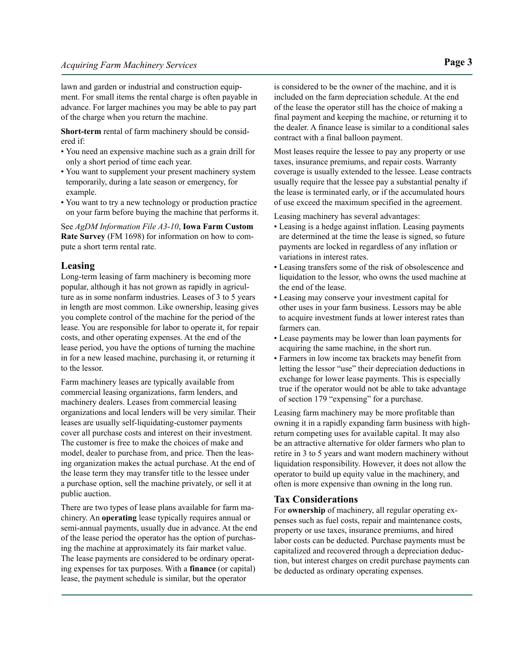lawn and garden or industrial and construction equipment. For small items the rental charge is often payable in advance. For larger machines you may be able to pay part of the charge when you return the machine.

**Short-term** rental of farm machinery should be considered if:

- You need an expensive machine such as a grain drill for only a short period of time each year.
- You want to supplement your present machinery system temporarily, during a late season or emergency, for example.
- You want to try a new technology or production practice on your farm before buying the machine that performs it.

See *AgDM Information File A3-10*, **Iowa Farm Custom Rate Survey** (FM 1698) for information on how to compute a short term rental rate.

#### **Leasing**

Long-term leasing of farm machinery is becoming more popular, although it has not grown as rapidly in agriculture as in some nonfarm industries. Leases of 3 to 5 years in length are most common. Like ownership, leasing gives you complete control of the machine for the period of the lease. You are responsible for labor to operate it, for repair costs, and other operating expenses. At the end of the lease period, you have the options of turning the machine in for a new leased machine, purchasing it, or returning it to the lessor.

Farm machinery leases are typically available from commercial leasing organizations, farm lenders, and machinery dealers. Leases from commercial leasing organizations and local lenders will be very similar. Their leases are usually self-liquidating-customer payments cover all purchase costs and interest on their investment. The customer is free to make the choices of make and model, dealer to purchase from, and price. Then the leasing organization makes the actual purchase. At the end of the lease term they may transfer title to the lessee under a purchase option, sell the machine privately, or sell it at public auction.

There are two types of lease plans available for farm machinery. An **operating** lease typically requires annual or semi-annual payments, usually due in advance. At the end of the lease period the operator has the option of purchasing the machine at approximately its fair market value. The lease payments are considered to be ordinary operating expenses for tax purposes. With a **finance** (or capital) lease, the payment schedule is similar, but the operator

is considered to be the owner of the machine, and it is included on the farm depreciation schedule. At the end of the lease the operator still has the choice of making a final payment and keeping the machine, or returning it to the dealer. A finance lease is similar to a conditional sales contract with a final balloon payment.

Most leases require the lessee to pay any property or use taxes, insurance premiums, and repair costs. Warranty coverage is usually extended to the lessee. Lease contracts usually require that the lessee pay a substantial penalty if the lease is terminated early, or if the accumulated hours of use exceed the maximum specified in the agreement.

Leasing machinery has several advantages:

- Leasing is a hedge against inflation. Leasing payments are determined at the time the lease is signed, so future payments are locked in regardless of any inflation or variations in interest rates.
- Leasing transfers some of the risk of obsolescence and liquidation to the lessor, who owns the used machine at the end of the lease.
- Leasing may conserve your investment capital for other uses in your farm business. Lessors may be able to acquire investment funds at lower interest rates than farmers can.
- Lease payments may be lower than loan payments for acquiring the same machine, in the short run.
- Farmers in low income tax brackets may benefit from letting the lessor "use" their depreciation deductions in exchange for lower lease payments. This is especially true if the operator would not be able to take advantage of section 179 "expensing" for a purchase.

Leasing farm machinery may be more profitable than owning it in a rapidly expanding farm business with highreturn competing uses for available capital. It may also be an attractive alternative for older farmers who plan to retire in 3 to 5 years and want modern machinery without liquidation responsibility. However, it does not allow the operator to build up equity value in the machinery, and often is more expensive than owning in the long run.

#### **Tax Considerations**

For **ownership** of machinery, all regular operating expenses such as fuel costs, repair and maintenance costs, property or use taxes, insurance premiums, and hired labor costs can be deducted. Purchase payments must be capitalized and recovered through a depreciation deduction, but interest charges on credit purchase payments can be deducted as ordinary operating expenses.